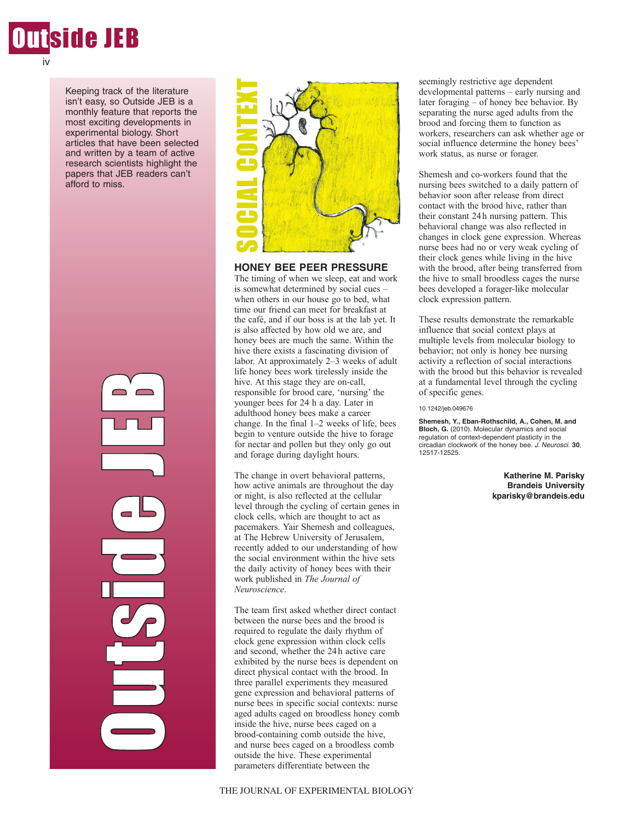

Keeping track of the literature isn't easy, so Outside JEB is a monthly feature that reports the most exciting developments in experimental biology. Short articles that have been selected and written by a team of active research scientists highlight the papers that JEB readers can't afford to miss.





**HONEY BEE PEER PRESSURE**

The timing of when we sleep, eat and work is somewhat determined by social cues – when others in our house go to bed, what time our friend can meet for breakfast at the café, and if our boss is at the lab yet. It is also affected by how old we are, and honey bees are much the same. Within the hive there exists a fascinating division of labor. At approximately 2–3 weeks of adult life honey bees work tirelessly inside the hive. At this stage they are on-call, responsible for brood care, 'nursing' the younger bees for 24 h a day. Later in adulthood honey bees make a career change. In the final 1–2 weeks of life, bees begin to venture outside the hive to forage for nectar and pollen but they only go out and forage during daylight hours. **EXERCT:**<br> **EXERCT THE SOCIAL CONTEXT SERCT SERCT TO THE USE THE USE THE USE SOMEWHAT THE USE SOMEWHAT THE USE SOMEWHAT THE USE THE USE THE USE THE USE THE USE THE AND NOTE THE PROPORTION (THE AND NOTE THE POWER THE CONTEX** 

The change in overt behavioral patterns, how active animals are throughout the day or night, is also reflected at the cellular level through the cycling of certain genes in clock cells, which are thought to act as pacemakers. Yair Shemesh and colleagues, at The Hebrew University of Jerusalem, recently added to our understanding of how the social environment within the hive sets the daily activity of honey bees with their work published in *The Journal of Neuroscience*.

The team first asked whether direct contact between the nurse bees and the brood is required to regulate the daily rhythm of clock gene expression within clock cells and second, whether the 24h active care exhibited by the nurse bees is dependent on direct physical contact with the brood. In three parallel experiments they measured gene expression and behavioral patterns of nurse bees in specific social contexts: nurse aged adults caged on broodless honey comb inside the hive, nurse bees caged on a brood-containing comb outside the hive, and nurse bees caged on a broodless comb outside the hive. These experimental parameters differentiate between the

seemingly restrictive age dependent developmental patterns – early nursing and later foraging – of honey bee behavior. By separating the nurse aged adults from the brood and forcing them to function as workers, researchers can ask whether age or social influence determine the honey bees' work status, as nurse or forager.

Shemesh and co-workers found that the nursing bees switched to a daily pattern of behavior soon after release from direct contact with the brood hive, rather than their constant 24h nursing pattern. This behavioral change was also reflected in changes in clock gene expression. Whereas nurse bees had no or very weak cycling of their clock genes while living in the hive with the brood, after being transferred from the hive to small broodless cages the nurse bees developed a forager-like molecular clock expression pattern.

These results demonstrate the remarkable influence that social context plays at multiple levels from molecular biology to behavior; not only is honey bee nursing activity a reflection of social interactions with the brood but this behavior is revealed at a fundamental level through the cycling of specific genes.

10.1242/jeb.049676

**Shemesh, Y., Eban-Rothschild, A., Cohen, M. and Bloch, G.** (2010). Molecular dynamics and social regulation of context-dependent plasticity in the circadian clockwork of the honey bee. J. Neurosci. **30**, 12517-12525.

> **Katherine M. Parisky Brandeis University kparisky@brandeis.edu**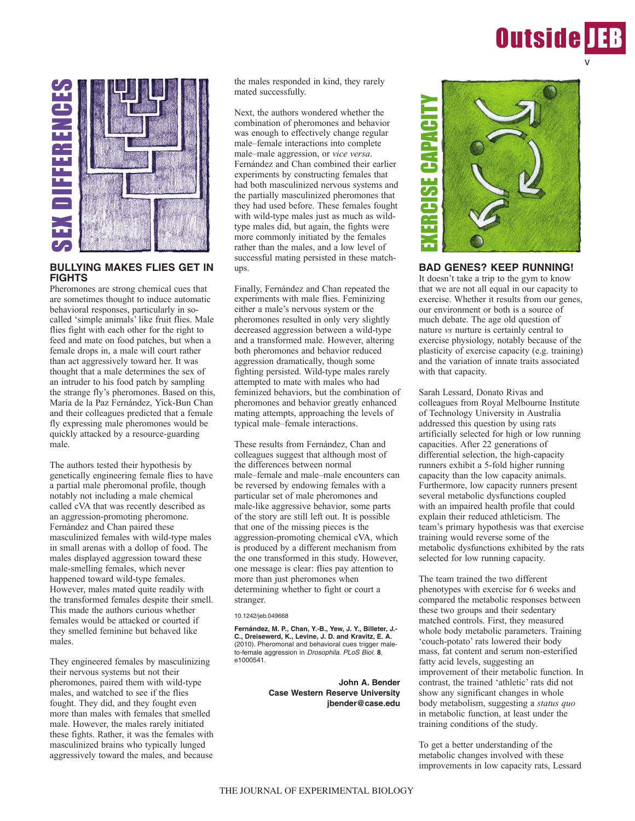# **Outside IEB** v



# **BULLYING MAKES FLIES GET IN FIGHTS**

Pheromones are strong chemical cues that are sometimes thought to induce automatic behavioral responses, particularly in socalled 'simple animals' like fruit flies. Male flies fight with each other for the right to feed and mate on food patches, but when a female drops in, a male will court rather than act aggressively toward her. It was thought that a male determines the sex of an intruder to his food patch by sampling the strange fly's pheromones. Based on this, María de la Paz Fernández, Yick-Bun Chan and their colleagues predicted that a female fly expressing male pheromones would be quickly attacked by a resource-guarding male.

The authors tested their hypothesis by genetically engineering female flies to have a partial male pheromonal profile, though notably not including a male chemical called cVA that was recently described as an aggression-promoting pheromone. Fernández and Chan paired these masculinized females with wild-type males in small arenas with a dollop of food. The males displayed aggression toward these male-smelling females, which never happened toward wild-type females. However, males mated quite readily with the transformed females despite their smell. This made the authors curious whether females would be attacked or courted if they smelled feminine but behaved like males.

They engineered females by masculinizing their nervous systems but not their pheromones, paired them with wild-type males, and watched to see if the flies fought. They did, and they fought even more than males with females that smelled male. However, the males rarely initiated these fights. Rather, it was the females with masculinized brains who typically lunged aggressively toward the males, and because

the males responded in kind, they rarely mated successfully.

Next, the authors wondered whether the combination of pheromones and behavior was enough to effectively change regular male–female interactions into complete male–male aggression, or *vice versa*. Fernández and Chan combined their earlier experiments by constructing females that had both masculinized nervous systems and the partially masculinized pheromones that they had used before. These females fought with wild-type males just as much as wildtype males did, but again, the fights were more commonly initiated by the females rather than the males, and a low level of successful mating persisted in these matchups.

Finally, Fernández and Chan repeated the experiments with male flies. Feminizing either a male's nervous system or the pheromones resulted in only very slightly decreased aggression between a wild-type and a transformed male. However, altering both pheromones and behavior reduced aggression dramatically, though some fighting persisted. Wild-type males rarely attempted to mate with males who had feminized behaviors, but the combination of pheromones and behavior greatly enhanced mating attempts, approaching the levels of typical male–female interactions.

These results from Fernández, Chan and colleagues suggest that although most of the differences between normal male–female and male–male encounters can be reversed by endowing females with a particular set of male pheromones and male-like aggressive behavior, some parts of the story are still left out. It is possible that one of the missing pieces is the aggression-promoting chemical cVA, which is produced by a different mechanism from the one transformed in this study. However, one message is clear: flies pay attention to more than just pheromones when determining whether to fight or court a stranger.

10.1242/jeb.049668

**Fernández, M. P., Chan, Y.-B., Yew, J. Y., Billeter, J.- C., Dreisewerd, K., Levine, J. D. and Kravitz, E. A.** (2010). Pheromonal and behavioral cues trigger maleto-female aggression in Drosophila. PLoS Biol. **8**, e1000541.

> **John A. Bender Case Western Reserve University jbender@case.edu**



### **BAD GENES? KEEP RUNNING!**

It doesn't take a trip to the gym to know that we are not all equal in our capacity to exercise. Whether it results from our genes, our environment or both is a source of much debate. The age old question of nature *vs* nurture is certainly central to exercise physiology, notably because of the plasticity of exercise capacity (e.g. training) and the variation of innate traits associated with that capacity.

Sarah Lessard, Donato Rivas and colleagues from Royal Melbourne Institute of Technology University in Australia addressed this question by using rats artificially selected for high or low running capacities. After 22 generations of differential selection, the high-capacity runners exhibit a 5-fold higher running capacity than the low capacity animals. Furthermore, low capacity runners present several metabolic dysfunctions coupled with an impaired health profile that could explain their reduced athleticism. The team's primary hypothesis was that exercise training would reverse some of the metabolic dysfunctions exhibited by the rats selected for low running capacity.

The team trained the two different phenotypes with exercise for 6 weeks and compared the metabolic responses between these two groups and their sedentary matched controls. First, they measured whole body metabolic parameters. Training 'couch-potato' rats lowered their body mass, fat content and serum non-esterified fatty acid levels, suggesting an improvement of their metabolic function. In contrast, the trained 'athletic' rats did not show any significant changes in whole body metabolism, suggesting a *status quo* in metabolic function, at least under the training conditions of the study.

To get a better understanding of the metabolic changes involved with these improvements in low capacity rats, Lessard